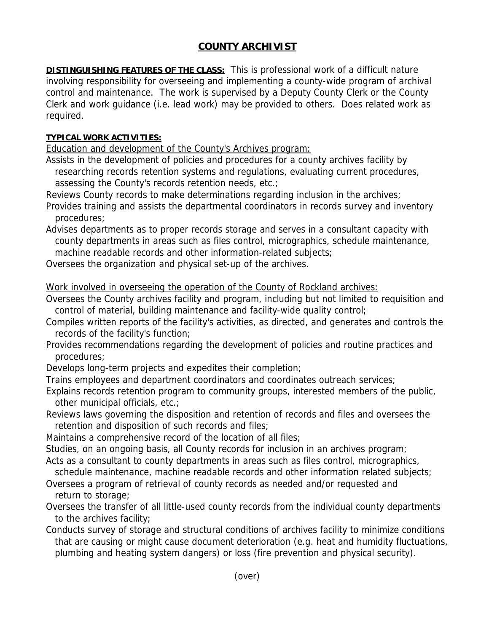## **COUNTY ARCHIVIST**

**DISTINGUISHING FEATURES OF THE CLASS:** This is professional work of a difficult nature involving responsibility for overseeing and implementing a county-wide program of archival control and maintenance. The work is supervised by a Deputy County Clerk or the County Clerk and work guidance (i.e. lead work) may be provided to others. Does related work as required.

## **TYPICAL WORK ACTIVITIES:**

Education and development of the County's Archives program:

- Assists in the development of policies and procedures for a county archives facility by researching records retention systems and regulations, evaluating current procedures, assessing the County's records retention needs, etc.;
- Reviews County records to make determinations regarding inclusion in the archives;
- Provides training and assists the departmental coordinators in records survey and inventory procedures;
- Advises departments as to proper records storage and serves in a consultant capacity with county departments in areas such as files control, micrographics, schedule maintenance, machine readable records and other information-related subjects;
- Oversees the organization and physical set-up of the archives.

Work involved in overseeing the operation of the County of Rockland archives:

- Oversees the County archives facility and program, including but not limited to requisition and control of material, building maintenance and facility-wide quality control;
- Compiles written reports of the facility's activities, as directed, and generates and controls the records of the facility's function;
- Provides recommendations regarding the development of policies and routine practices and procedures;
- Develops long-term projects and expedites their completion;
- Trains employees and department coordinators and coordinates outreach services;
- Explains records retention program to community groups, interested members of the public, other municipal officials, etc.;
- Reviews laws governing the disposition and retention of records and files and oversees the retention and disposition of such records and files;
- Maintains a comprehensive record of the location of all files;
- Studies, on an ongoing basis, all County records for inclusion in an archives program;
- Acts as a consultant to county departments in areas such as files control, micrographics,
- schedule maintenance, machine readable records and other information related subjects; Oversees a program of retrieval of county records as needed and/or requested and return to storage;
- Oversees the transfer of all little-used county records from the individual county departments to the archives facility;
- Conducts survey of storage and structural conditions of archives facility to minimize conditions that are causing or might cause document deterioration (e.g. heat and humidity fluctuations, plumbing and heating system dangers) or loss (fire prevention and physical security).